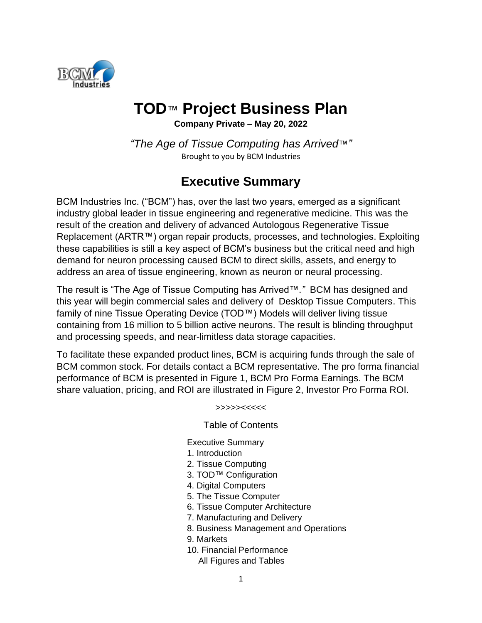

# **TOD**™ **Project Business Plan**

**Company Private – May 20, 2022**

*"The Age of Tissue Computing has Arrived*™*"* Brought to you by BCM Industries

# **Executive Summary**

BCM Industries Inc. ("BCM") has, over the last two years, emerged as a significant industry global leader in tissue engineering and regenerative medicine. This was the result of the creation and delivery of advanced Autologous Regenerative Tissue Replacement (ARTR™) organ repair products, processes, and technologies. Exploiting these capabilities is still a key aspect of BCM's business but the critical need and high demand for neuron processing caused BCM to direct skills, assets, and energy to address an area of tissue engineering, known as neuron or neural processing.

The result is "The Age of Tissue Computing has Arrived™.*"* BCM has designed and this year will begin commercial sales and delivery of Desktop Tissue Computers. This family of nine Tissue Operating Device (TOD™) Models will deliver living tissue containing from 16 million to 5 billion active neurons. The result is blinding throughput and processing speeds, and near-limitless data storage capacities.

To facilitate these expanded product lines, BCM is acquiring funds through the sale of BCM common stock. For details contact a BCM representative. The pro forma financial performance of BCM is presented in Figure 1, BCM Pro Forma Earnings. The BCM share valuation, pricing, and ROI are illustrated in Figure 2, Investor Pro Forma ROI.

#### >>>>><<<<<

#### Table of Contents

Executive Summary

- 1. Introduction
- 2. Tissue Computing
- 3. TOD™ Configuration
- 4. Digital Computers
- 5. The Tissue Computer
- 6. Tissue Computer Architecture
- 7. Manufacturing and Delivery
- 8. Business Management and Operations
- 9. Markets
- 10. Financial Performance
	- All Figures and Tables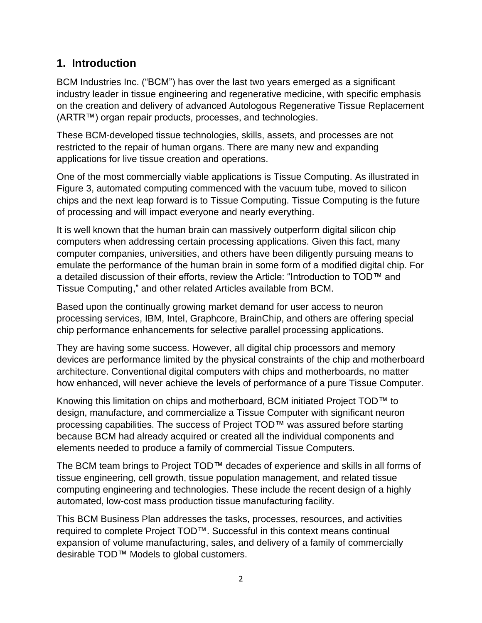### **1. Introduction**

BCM Industries Inc. ("BCM") has over the last two years emerged as a significant industry leader in tissue engineering and regenerative medicine, with specific emphasis on the creation and delivery of advanced Autologous Regenerative Tissue Replacement (ARTR™) organ repair products, processes, and technologies.

These BCM-developed tissue technologies, skills, assets, and processes are not restricted to the repair of human organs. There are many new and expanding applications for live tissue creation and operations.

One of the most commercially viable applications is Tissue Computing. As illustrated in Figure 3, automated computing commenced with the vacuum tube, moved to silicon chips and the next leap forward is to Tissue Computing. Tissue Computing is the future of processing and will impact everyone and nearly everything.

It is well known that the human brain can massively outperform digital silicon chip computers when addressing certain processing applications. Given this fact, many computer companies, universities, and others have been diligently pursuing means to emulate the performance of the human brain in some form of a modified digital chip. For a detailed discussion of their efforts, review the Article: "Introduction to TOD™ and Tissue Computing," and other related Articles available from BCM.

Based upon the continually growing market demand for user access to neuron processing services, IBM, Intel, Graphcore, BrainChip, and others are offering special chip performance enhancements for selective parallel processing applications.

They are having some success. However, all digital chip processors and memory devices are performance limited by the physical constraints of the chip and motherboard architecture. Conventional digital computers with chips and motherboards, no matter how enhanced, will never achieve the levels of performance of a pure Tissue Computer.

Knowing this limitation on chips and motherboard, BCM initiated Project TOD™ to design, manufacture, and commercialize a Tissue Computer with significant neuron processing capabilities. The success of Project TOD™ was assured before starting because BCM had already acquired or created all the individual components and elements needed to produce a family of commercial Tissue Computers.

The BCM team brings to Project TOD™ decades of experience and skills in all forms of tissue engineering, cell growth, tissue population management, and related tissue computing engineering and technologies. These include the recent design of a highly automated, low-cost mass production tissue manufacturing facility.

This BCM Business Plan addresses the tasks, processes, resources, and activities required to complete Project TOD™. Successful in this context means continual expansion of volume manufacturing, sales, and delivery of a family of commercially desirable TOD™ Models to global customers.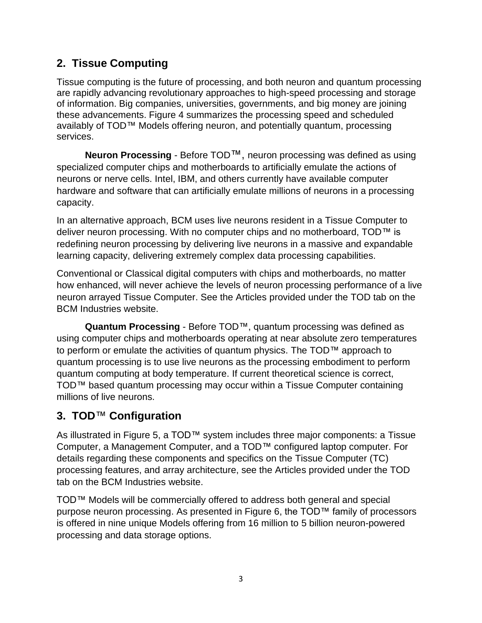## **2. Tissue Computing**

Tissue computing is the future of processing, and both neuron and quantum processing are rapidly advancing revolutionary approaches to high-speed processing and storage of information. Big companies, universities, governments, and big money are joining these advancements. Figure 4 summarizes the processing speed and scheduled availably of TOD™ Models offering neuron, and potentially quantum, processing services.

**Neuron Processing** - Before TOD™, neuron processing was defined as using specialized computer chips and motherboards to artificially emulate the actions of neurons or nerve cells. Intel, IBM, and others currently have available computer hardware and software that can artificially emulate millions of neurons in a processing capacity.

In an alternative approach, BCM uses live neurons resident in a Tissue Computer to deliver neuron processing. With no computer chips and no motherboard, TOD™ is redefining neuron processing by delivering live neurons in a massive and expandable learning capacity, delivering extremely complex data processing capabilities.

Conventional or Classical digital computers with chips and motherboards, no matter how enhanced, will never achieve the levels of neuron processing performance of a live neuron arrayed Tissue Computer. See the Articles provided under the TOD tab on the BCM Industries website.

**Quantum Processing** - Before TOD™, quantum processing was defined as using computer chips and motherboards operating at near absolute zero temperatures to perform or emulate the activities of quantum physics. The TOD™ approach to quantum processing is to use live neurons as the processing embodiment to perform quantum computing at body temperature. If current theoretical science is correct, TOD™ based quantum processing may occur within a Tissue Computer containing millions of live neurons.

### **3. TOD**™ **Configuration**

As illustrated in Figure 5, a TOD™ system includes three major components: a Tissue Computer, a Management Computer, and a TOD™ configured laptop computer. For details regarding these components and specifics on the Tissue Computer (TC) processing features, and array architecture, see the Articles provided under the TOD tab on the BCM Industries website.

TOD™ Models will be commercially offered to address both general and special purpose neuron processing. As presented in Figure 6, the TOD™ family of processors is offered in nine unique Models offering from 16 million to 5 billion neuron-powered processing and data storage options.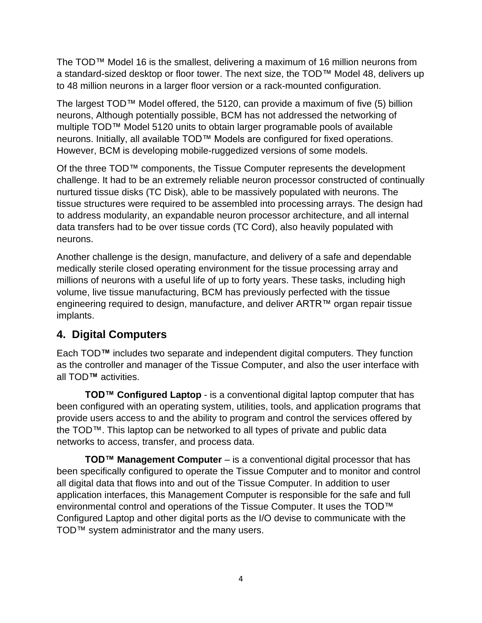The TOD™ Model 16 is the smallest, delivering a maximum of 16 million neurons from a standard-sized desktop or floor tower. The next size, the TOD™ Model 48, delivers up to 48 million neurons in a larger floor version or a rack-mounted configuration.

The largest TOD™ Model offered, the 5120, can provide a maximum of five (5) billion neurons, Although potentially possible, BCM has not addressed the networking of multiple TOD™ Model 5120 units to obtain larger programable pools of available neurons. Initially, all available TOD™ Models are configured for fixed operations. However, BCM is developing mobile-ruggedized versions of some models.

Of the three TOD™ components, the Tissue Computer represents the development challenge. It had to be an extremely reliable neuron processor constructed of continually nurtured tissue disks (TC Disk), able to be massively populated with neurons. The tissue structures were required to be assembled into processing arrays. The design had to address modularity, an expandable neuron processor architecture, and all internal data transfers had to be over tissue cords (TC Cord), also heavily populated with neurons.

Another challenge is the design, manufacture, and delivery of a safe and dependable medically sterile closed operating environment for the tissue processing array and millions of neurons with a useful life of up to forty years. These tasks, including high volume, live tissue manufacturing, BCM has previously perfected with the tissue engineering required to design, manufacture, and deliver ARTR™ organ repair tissue implants.

### **4. Digital Computers**

Each TOD**™** includes two separate and independent digital computers. They function as the controller and manager of the Tissue Computer, and also the user interface with all TOD**™** activities.

**TOD™ Configured Laptop** - is a conventional digital laptop computer that has been configured with an operating system, utilities, tools, and application programs that provide users access to and the ability to program and control the services offered by the TOD™. This laptop can be networked to all types of private and public data networks to access, transfer, and process data.

**TOD™ Management Computer** – is a conventional digital processor that has been specifically configured to operate the Tissue Computer and to monitor and control all digital data that flows into and out of the Tissue Computer. In addition to user application interfaces, this Management Computer is responsible for the safe and full environmental control and operations of the Tissue Computer. It uses the TOD™ Configured Laptop and other digital ports as the I/O devise to communicate with the TOD™ system administrator and the many users.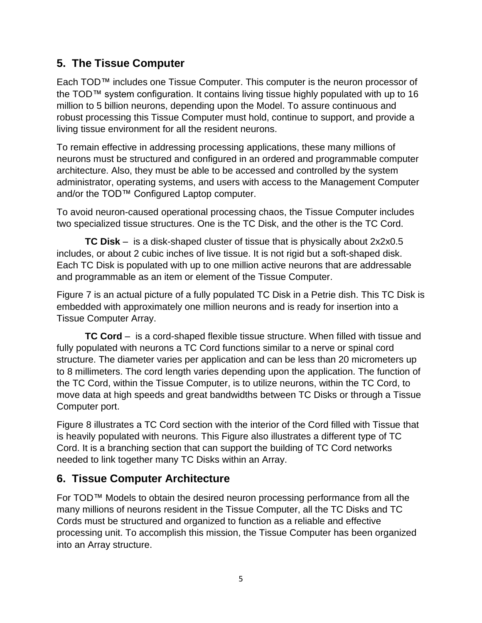### **5. The Tissue Computer**

Each TOD™ includes one Tissue Computer. This computer is the neuron processor of the TOD™ system configuration. It contains living tissue highly populated with up to 16 million to 5 billion neurons, depending upon the Model. To assure continuous and robust processing this Tissue Computer must hold, continue to support, and provide a living tissue environment for all the resident neurons.

To remain effective in addressing processing applications, these many millions of neurons must be structured and configured in an ordered and programmable computer architecture. Also, they must be able to be accessed and controlled by the system administrator, operating systems, and users with access to the Management Computer and/or the TOD™ Configured Laptop computer.

To avoid neuron-caused operational processing chaos, the Tissue Computer includes two specialized tissue structures. One is the TC Disk, and the other is the TC Cord.

**TC Disk** – is a disk-shaped cluster of tissue that is physically about 2x2x0.5 includes, or about 2 cubic inches of live tissue. It is not rigid but a soft-shaped disk. Each TC Disk is populated with up to one million active neurons that are addressable and programmable as an item or element of the Tissue Computer.

Figure 7 is an actual picture of a fully populated TC Disk in a Petrie dish. This TC Disk is embedded with approximately one million neurons and is ready for insertion into a Tissue Computer Array.

**TC Cord** – is a cord-shaped flexible tissue structure. When filled with tissue and fully populated with neurons a TC Cord functions similar to a nerve or spinal cord structure. The diameter varies per application and can be less than 20 micrometers up to 8 millimeters. The cord length varies depending upon the application. The function of the TC Cord, within the Tissue Computer, is to utilize neurons, within the TC Cord, to move data at high speeds and great bandwidths between TC Disks or through a Tissue Computer port.

Figure 8 illustrates a TC Cord section with the interior of the Cord filled with Tissue that is heavily populated with neurons. This Figure also illustrates a different type of TC Cord. It is a branching section that can support the building of TC Cord networks needed to link together many TC Disks within an Array.

### **6. Tissue Computer Architecture**

For TOD™ Models to obtain the desired neuron processing performance from all the many millions of neurons resident in the Tissue Computer, all the TC Disks and TC Cords must be structured and organized to function as a reliable and effective processing unit. To accomplish this mission, the Tissue Computer has been organized into an Array structure.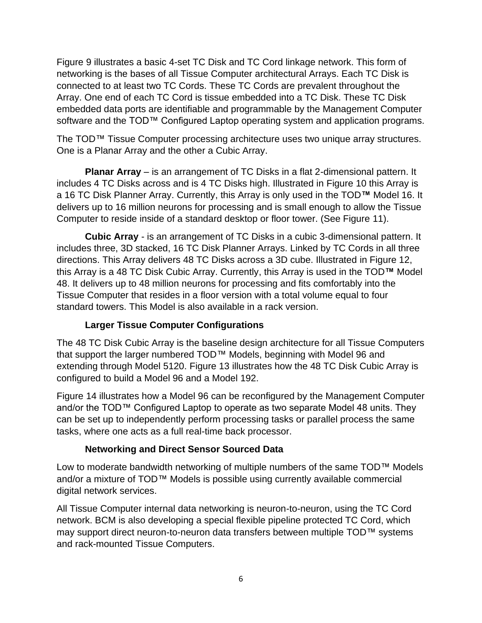Figure 9 illustrates a basic 4-set TC Disk and TC Cord linkage network. This form of networking is the bases of all Tissue Computer architectural Arrays. Each TC Disk is connected to at least two TC Cords. These TC Cords are prevalent throughout the Array. One end of each TC Cord is tissue embedded into a TC Disk. These TC Disk embedded data ports are identifiable and programmable by the Management Computer software and the TOD™ Configured Laptop operating system and application programs.

The TOD™ Tissue Computer processing architecture uses two unique array structures. One is a Planar Array and the other a Cubic Array.

**Planar Array** – is an arrangement of TC Disks in a flat 2-dimensional pattern. It includes 4 TC Disks across and is 4 TC Disks high. Illustrated in Figure 10 this Array is a 16 TC Disk Planner Array. Currently, this Array is only used in the TOD**™** Model 16. It delivers up to 16 million neurons for processing and is small enough to allow the Tissue Computer to reside inside of a standard desktop or floor tower. (See Figure 11).

**Cubic Array** - is an arrangement of TC Disks in a cubic 3-dimensional pattern. It includes three, 3D stacked, 16 TC Disk Planner Arrays. Linked by TC Cords in all three directions. This Array delivers 48 TC Disks across a 3D cube. Illustrated in Figure 12, this Array is a 48 TC Disk Cubic Array. Currently, this Array is used in the TOD**™** Model 48. It delivers up to 48 million neurons for processing and fits comfortably into the Tissue Computer that resides in a floor version with a total volume equal to four standard towers. This Model is also available in a rack version.

### **Larger Tissue Computer Configurations**

The 48 TC Disk Cubic Array is the baseline design architecture for all Tissue Computers that support the larger numbered TOD™ Models, beginning with Model 96 and extending through Model 5120. Figure 13 illustrates how the 48 TC Disk Cubic Array is configured to build a Model 96 and a Model 192.

Figure 14 illustrates how a Model 96 can be reconfigured by the Management Computer and/or the TOD™ Configured Laptop to operate as two separate Model 48 units. They can be set up to independently perform processing tasks or parallel process the same tasks, where one acts as a full real-time back processor.

### **Networking and Direct Sensor Sourced Data**

Low to moderate bandwidth networking of multiple numbers of the same TOD™ Models and/or a mixture of TOD™ Models is possible using currently available commercial digital network services.

All Tissue Computer internal data networking is neuron-to-neuron, using the TC Cord network. BCM is also developing a special flexible pipeline protected TC Cord, which may support direct neuron-to-neuron data transfers between multiple TOD™ systems and rack-mounted Tissue Computers.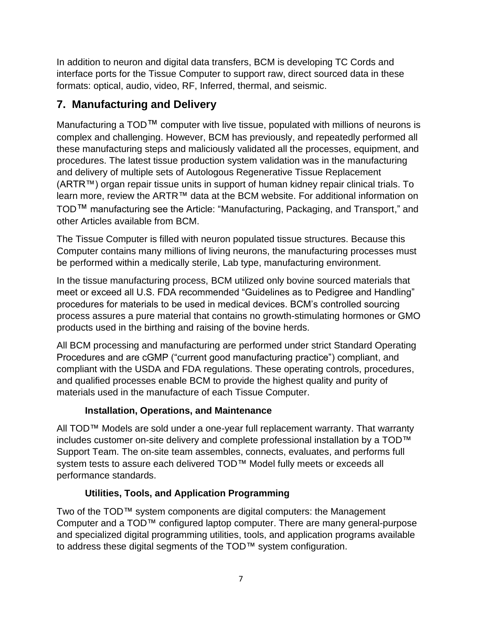In addition to neuron and digital data transfers, BCM is developing TC Cords and interface ports for the Tissue Computer to support raw, direct sourced data in these formats: optical, audio, video, RF, Inferred, thermal, and seismic.

# **7. Manufacturing and Delivery**

Manufacturing a TOD™ computer with live tissue, populated with millions of neurons is complex and challenging. However, BCM has previously, and repeatedly performed all these manufacturing steps and maliciously validated all the processes, equipment, and procedures. The latest tissue production system validation was in the manufacturing and delivery of multiple sets of Autologous Regenerative Tissue Replacement (ARTR™) organ repair tissue units in support of human kidney repair clinical trials. To learn more, review the ARTR™ data at the BCM website. For additional information on TOD™ manufacturing see the Article: "Manufacturing, Packaging, and Transport," and other Articles available from BCM.

The Tissue Computer is filled with neuron populated tissue structures. Because this Computer contains many millions of living neurons, the manufacturing processes must be performed within a medically sterile, Lab type, manufacturing environment.

In the tissue manufacturing process, BCM utilized only bovine sourced materials that meet or exceed all U.S. FDA recommended "Guidelines as to Pedigree and Handling" procedures for materials to be used in medical devices. BCM's controlled sourcing process assures a pure material that contains no growth-stimulating hormones or GMO products used in the birthing and raising of the bovine herds.

All BCM processing and manufacturing are performed under strict Standard Operating Procedures and are cGMP ("current good manufacturing practice") compliant, and compliant with the USDA and FDA regulations. These operating controls, procedures, and qualified processes enable BCM to provide the highest quality and purity of materials used in the manufacture of each Tissue Computer.

### **Installation, Operations, and Maintenance**

All TOD™ Models are sold under a one-year full replacement warranty. That warranty includes customer on-site delivery and complete professional installation by a TOD™ Support Team. The on-site team assembles, connects, evaluates, and performs full system tests to assure each delivered TOD™ Model fully meets or exceeds all performance standards.

### **Utilities, Tools, and Application Programming**

Two of the TOD™ system components are digital computers: the Management Computer and a TOD™ configured laptop computer. There are many general-purpose and specialized digital programming utilities, tools, and application programs available to address these digital segments of the TOD™ system configuration.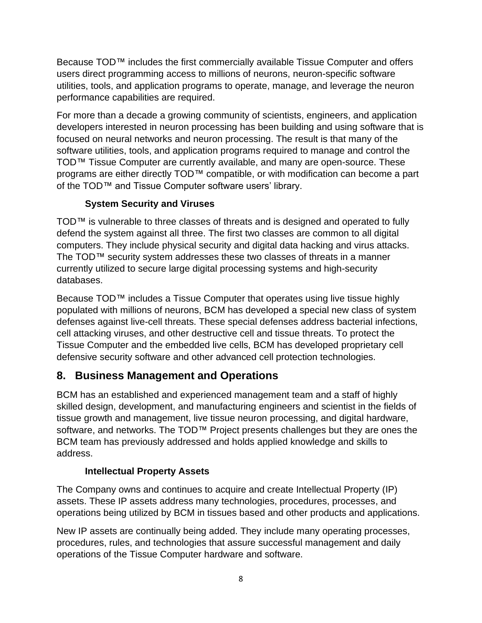Because TOD™ includes the first commercially available Tissue Computer and offers users direct programming access to millions of neurons, neuron-specific software utilities, tools, and application programs to operate, manage, and leverage the neuron performance capabilities are required.

For more than a decade a growing community of scientists, engineers, and application developers interested in neuron processing has been building and using software that is focused on neural networks and neuron processing. The result is that many of the software utilities, tools, and application programs required to manage and control the TOD™ Tissue Computer are currently available, and many are open-source. These programs are either directly TOD™ compatible, or with modification can become a part of the TOD™ and Tissue Computer software users' library.

### **System Security and Viruses**

TOD™ is vulnerable to three classes of threats and is designed and operated to fully defend the system against all three. The first two classes are common to all digital computers. They include physical security and digital data hacking and virus attacks. The TOD™ security system addresses these two classes of threats in a manner currently utilized to secure large digital processing systems and high-security databases.

Because TOD™ includes a Tissue Computer that operates using live tissue highly populated with millions of neurons, BCM has developed a special new class of system defenses against live-cell threats. These special defenses address bacterial infections, cell attacking viruses, and other destructive cell and tissue threats. To protect the Tissue Computer and the embedded live cells, BCM has developed proprietary cell defensive security software and other advanced cell protection technologies.

### **8. Business Management and Operations**

BCM has an established and experienced management team and a staff of highly skilled design, development, and manufacturing engineers and scientist in the fields of tissue growth and management, live tissue neuron processing, and digital hardware, software, and networks. The TOD™ Project presents challenges but they are ones the BCM team has previously addressed and holds applied knowledge and skills to address.

### **Intellectual Property Assets**

The Company owns and continues to acquire and create Intellectual Property (IP) assets. These IP assets address many technologies, procedures, processes, and operations being utilized by BCM in tissues based and other products and applications.

New IP assets are continually being added. They include many operating processes, procedures, rules, and technologies that assure successful management and daily operations of the Tissue Computer hardware and software.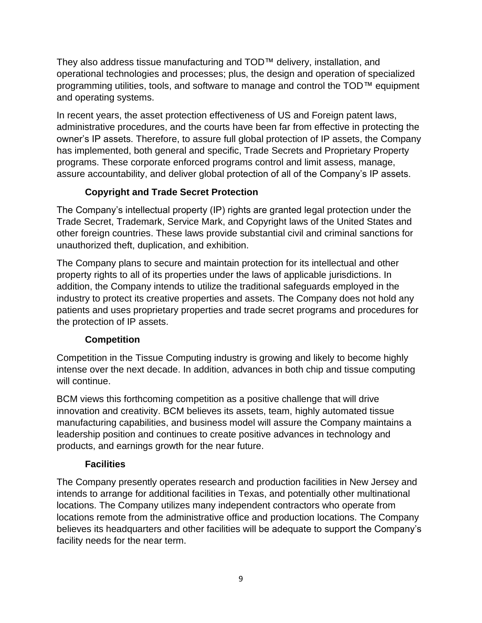They also address tissue manufacturing and TOD™ delivery, installation, and operational technologies and processes; plus, the design and operation of specialized programming utilities, tools, and software to manage and control the TOD™ equipment and operating systems.

In recent years, the asset protection effectiveness of US and Foreign patent laws, administrative procedures, and the courts have been far from effective in protecting the owner's IP assets. Therefore, to assure full global protection of IP assets, the Company has implemented, both general and specific, Trade Secrets and Proprietary Property programs. These corporate enforced programs control and limit assess, manage, assure accountability, and deliver global protection of all of the Company's IP assets.

### **Copyright and Trade Secret Protection**

The Company's intellectual property (IP) rights are granted legal protection under the Trade Secret, Trademark, Service Mark, and Copyright laws of the United States and other foreign countries. These laws provide substantial civil and criminal sanctions for unauthorized theft, duplication, and exhibition.

The Company plans to secure and maintain protection for its intellectual and other property rights to all of its properties under the laws of applicable jurisdictions. In addition, the Company intends to utilize the traditional safeguards employed in the industry to protect its creative properties and assets. The Company does not hold any patients and uses proprietary properties and trade secret programs and procedures for the protection of IP assets.

### **Competition**

Competition in the Tissue Computing industry is growing and likely to become highly intense over the next decade. In addition, advances in both chip and tissue computing will continue.

BCM views this forthcoming competition as a positive challenge that will drive innovation and creativity. BCM believes its assets, team, highly automated tissue manufacturing capabilities, and business model will assure the Company maintains a leadership position and continues to create positive advances in technology and products, and earnings growth for the near future.

### **Facilities**

The Company presently operates research and production facilities in New Jersey and intends to arrange for additional facilities in Texas, and potentially other multinational locations. The Company utilizes many independent contractors who operate from locations remote from the administrative office and production locations. The Company believes its headquarters and other facilities will be adequate to support the Company's facility needs for the near term.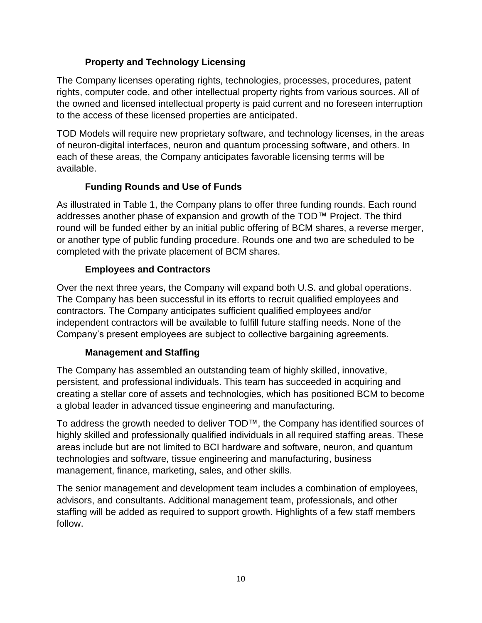### **Property and Technology Licensing**

The Company licenses operating rights, technologies, processes, procedures, patent rights, computer code, and other intellectual property rights from various sources. All of the owned and licensed intellectual property is paid current and no foreseen interruption to the access of these licensed properties are anticipated.

TOD Models will require new proprietary software, and technology licenses, in the areas of neuron-digital interfaces, neuron and quantum processing software, and others. In each of these areas, the Company anticipates favorable licensing terms will be available.

### **Funding Rounds and Use of Funds**

As illustrated in Table 1, the Company plans to offer three funding rounds. Each round addresses another phase of expansion and growth of the TOD™ Project. The third round will be funded either by an initial public offering of BCM shares, a reverse merger, or another type of public funding procedure. Rounds one and two are scheduled to be completed with the private placement of BCM shares.

### **Employees and Contractors**

Over the next three years, the Company will expand both U.S. and global operations. The Company has been successful in its efforts to recruit qualified employees and contractors. The Company anticipates sufficient qualified employees and/or independent contractors will be available to fulfill future staffing needs. None of the Company's present employees are subject to collective bargaining agreements.

### **Management and Staffing**

The Company has assembled an outstanding team of highly skilled, innovative, persistent, and professional individuals. This team has succeeded in acquiring and creating a stellar core of assets and technologies, which has positioned BCM to become a global leader in advanced tissue engineering and manufacturing.

To address the growth needed to deliver TOD™, the Company has identified sources of highly skilled and professionally qualified individuals in all required staffing areas. These areas include but are not limited to BCI hardware and software, neuron, and quantum technologies and software, tissue engineering and manufacturing, business management, finance, marketing, sales, and other skills.

The senior management and development team includes a combination of employees, advisors, and consultants. Additional management team, professionals, and other staffing will be added as required to support growth. Highlights of a few staff members follow.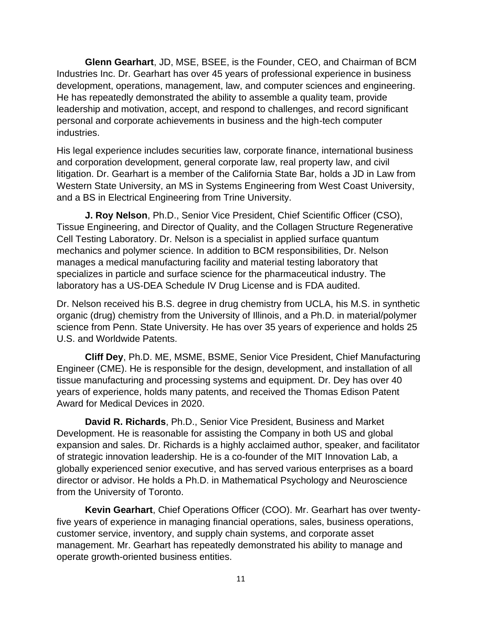**Glenn Gearhart**, JD, MSE, BSEE, is the Founder, CEO, and Chairman of BCM Industries Inc. Dr. Gearhart has over 45 years of professional experience in business development, operations, management, law, and computer sciences and engineering. He has repeatedly demonstrated the ability to assemble a quality team, provide leadership and motivation, accept, and respond to challenges, and record significant personal and corporate achievements in business and the high-tech computer industries.

His legal experience includes securities law, corporate finance, international business and corporation development, general corporate law, real property law, and civil litigation. Dr. Gearhart is a member of the California State Bar, holds a JD in Law from Western State University, an MS in Systems Engineering from West Coast University, and a BS in Electrical Engineering from Trine University.

**J. Roy Nelson**, Ph.D., Senior Vice President, Chief Scientific Officer (CSO), Tissue Engineering, and Director of Quality, and the Collagen Structure Regenerative Cell Testing Laboratory. Dr. Nelson is a specialist in applied surface quantum mechanics and polymer science. In addition to BCM responsibilities, Dr. Nelson manages a medical manufacturing facility and material testing laboratory that specializes in particle and surface science for the pharmaceutical industry. The laboratory has a US-DEA Schedule IV Drug License and is FDA audited.

Dr. Nelson received his B.S. degree in drug chemistry from UCLA, his M.S. in synthetic organic (drug) chemistry from the University of Illinois, and a Ph.D. in material/polymer science from Penn. State University. He has over 35 years of experience and holds 25 U.S. and Worldwide Patents.

**Cliff Dey**, Ph.D. ME, MSME, BSME, Senior Vice President, Chief Manufacturing Engineer (CME). He is responsible for the design, development, and installation of all tissue manufacturing and processing systems and equipment. Dr. Dey has over 40 years of experience, holds many patents, and received the Thomas Edison Patent Award for Medical Devices in 2020.

**David R. Richards**, Ph.D., Senior Vice President, Business and Market Development. He is reasonable for assisting the Company in both US and global expansion and sales. Dr. Richards is a highly acclaimed author, speaker, and facilitator of strategic innovation leadership. He is a co-founder of the MIT Innovation Lab, a globally experienced senior executive, and has served various enterprises as a board director or advisor. He holds a Ph.D. in Mathematical Psychology and Neuroscience from the University of Toronto.

**Kevin Gearhart**, Chief Operations Officer (COO). Mr. Gearhart has over twentyfive years of experience in managing financial operations, sales, business operations, customer service, inventory, and supply chain systems, and corporate asset management. Mr. Gearhart has repeatedly demonstrated his ability to manage and operate growth-oriented business entities.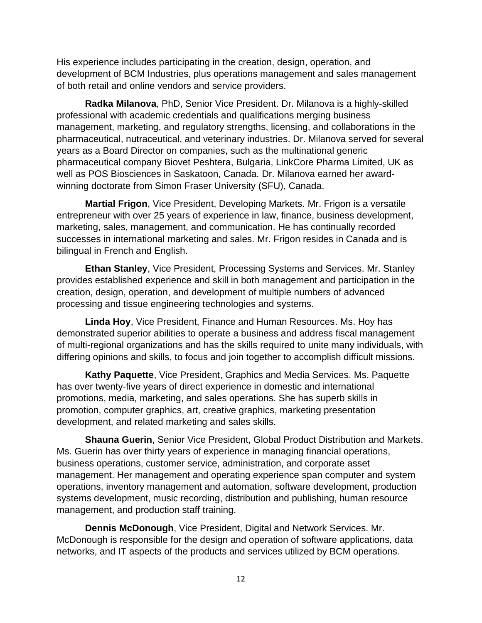His experience includes participating in the creation, design, operation, and development of BCM Industries, plus operations management and sales management of both retail and online vendors and service providers.

**Radka Milanova**, PhD, Senior Vice President. Dr. Milanova is a highly-skilled professional with academic credentials and qualifications merging business management, marketing, and regulatory strengths, licensing, and collaborations in the pharmaceutical, nutraceutical, and veterinary industries. Dr. Milanova served for several years as a Board Director on companies, such as the multinational generic pharmaceutical company Biovet Peshtera, Bulgaria, LinkCore Pharma Limited, UK as well as POS Biosciences in Saskatoon, Canada. Dr. Milanova earned her awardwinning doctorate from Simon Fraser University (SFU), Canada.

**Martial Frigon**, Vice President, Developing Markets. Mr. Frigon is a versatile entrepreneur with over 25 years of experience in law, finance, business development, marketing, sales, management, and communication. He has continually recorded successes in international marketing and sales. Mr. Frigon resides in Canada and is bilingual in French and English.

**Ethan Stanley**, Vice President, Processing Systems and Services. Mr. Stanley provides established experience and skill in both management and participation in the creation, design, operation, and development of multiple numbers of advanced processing and tissue engineering technologies and systems.

**Linda Hoy**, Vice President, Finance and Human Resources. Ms. Hoy has demonstrated superior abilities to operate a business and address fiscal management of multi-regional organizations and has the skills required to unite many individuals, with differing opinions and skills, to focus and join together to accomplish difficult missions.

**Kathy Paquette**, Vice President, Graphics and Media Services. Ms. Paquette has over twenty-five years of direct experience in domestic and international promotions, media, marketing, and sales operations. She has superb skills in promotion, computer graphics, art, creative graphics, marketing presentation development, and related marketing and sales skills.

**Shauna Guerin**, Senior Vice President, Global Product Distribution and Markets. Ms. Guerin has over thirty years of experience in managing financial operations, business operations, customer service, administration, and corporate asset management. Her management and operating experience span computer and system operations, inventory management and automation, software development, production systems development, music recording, distribution and publishing, human resource management, and production staff training.

**Dennis McDonough**, Vice President, Digital and Network Services. Mr. McDonough is responsible for the design and operation of software applications, data networks, and IT aspects of the products and services utilized by BCM operations.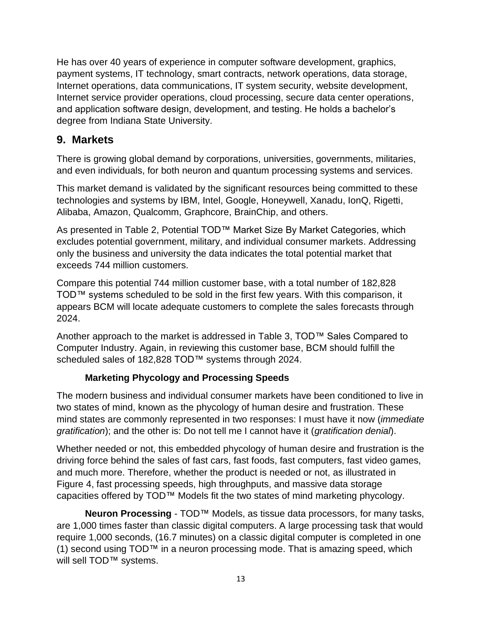He has over 40 years of experience in computer software development, graphics, payment systems, IT technology, smart contracts, network operations, data storage, Internet operations, data communications, IT system security, website development, Internet service provider operations, cloud processing, secure data center operations, and application software design, development, and testing. He holds a bachelor's degree from Indiana State University.

### **9. Markets**

There is growing global demand by corporations, universities, governments, militaries, and even individuals, for both neuron and quantum processing systems and services.

This market demand is validated by the significant resources being committed to these technologies and systems by IBM, Intel, Google, Honeywell, Xanadu, IonQ, Rigetti, Alibaba, Amazon, Qualcomm, Graphcore, BrainChip, and others.

As presented in Table 2, Potential TOD™ Market Size By Market Categories, which excludes potential government, military, and individual consumer markets. Addressing only the business and university the data indicates the total potential market that exceeds 744 million customers.

Compare this potential 744 million customer base, with a total number of 182,828 TOD™ systems scheduled to be sold in the first few years. With this comparison, it appears BCM will locate adequate customers to complete the sales forecasts through 2024.

Another approach to the market is addressed in Table 3, TOD™ Sales Compared to Computer Industry. Again, in reviewing this customer base, BCM should fulfill the scheduled sales of 182,828 TOD™ systems through 2024.

### **Marketing Phycology and Processing Speeds**

The modern business and individual consumer markets have been conditioned to live in two states of mind, known as the phycology of human desire and frustration. These mind states are commonly represented in two responses: I must have it now (*immediate gratification*); and the other is: Do not tell me I cannot have it (*gratification denial*).

Whether needed or not, this embedded phycology of human desire and frustration is the driving force behind the sales of fast cars, fast foods, fast computers, fast video games, and much more. Therefore, whether the product is needed or not, as illustrated in Figure 4, fast processing speeds, high throughputs, and massive data storage capacities offered by TOD™ Models fit the two states of mind marketing phycology.

**Neuron Processing** - TOD™ Models, as tissue data processors, for many tasks, are 1,000 times faster than classic digital computers. A large processing task that would require 1,000 seconds, (16.7 minutes) on a classic digital computer is completed in one (1) second using TOD™ in a neuron processing mode. That is amazing speed, which will sell TOD™ systems.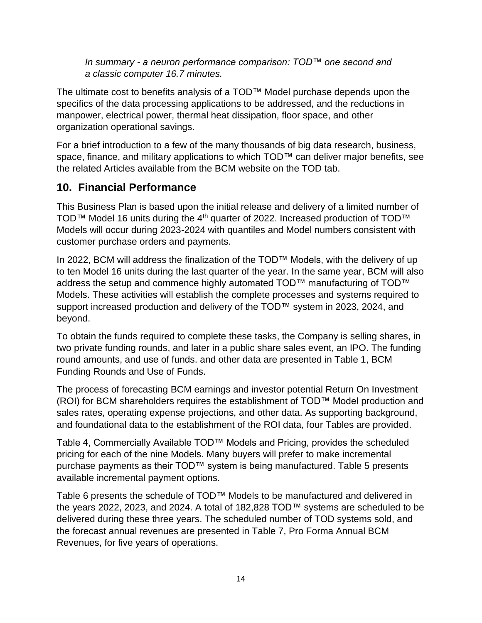*In summary - a neuron performance comparison: TOD™ one second and a classic computer 16.7 minutes.*

The ultimate cost to benefits analysis of a TOD™ Model purchase depends upon the specifics of the data processing applications to be addressed, and the reductions in manpower, electrical power, thermal heat dissipation, floor space, and other organization operational savings.

For a brief introduction to a few of the many thousands of big data research, business, space, finance, and military applications to which TOD™ can deliver major benefits, see the related Articles available from the BCM website on the TOD tab.

### **10. Financial Performance**

This Business Plan is based upon the initial release and delivery of a limited number of TOD™ Model 16 units during the 4<sup>th</sup> quarter of 2022. Increased production of TOD<sup>™</sup> Models will occur during 2023-2024 with quantiles and Model numbers consistent with customer purchase orders and payments.

In 2022, BCM will address the finalization of the TOD™ Models, with the delivery of up to ten Model 16 units during the last quarter of the year. In the same year, BCM will also address the setup and commence highly automated TOD™ manufacturing of TOD™ Models. These activities will establish the complete processes and systems required to support increased production and delivery of the TOD™ system in 2023, 2024, and beyond.

To obtain the funds required to complete these tasks, the Company is selling shares, in two private funding rounds, and later in a public share sales event, an IPO. The funding round amounts, and use of funds. and other data are presented in Table 1, BCM Funding Rounds and Use of Funds.

The process of forecasting BCM earnings and investor potential Return On Investment (ROI) for BCM shareholders requires the establishment of TOD™ Model production and sales rates, operating expense projections, and other data. As supporting background, and foundational data to the establishment of the ROI data, four Tables are provided.

Table 4, Commercially Available TOD™ Models and Pricing, provides the scheduled pricing for each of the nine Models. Many buyers will prefer to make incremental purchase payments as their TOD™ system is being manufactured. Table 5 presents available incremental payment options.

Table 6 presents the schedule of TOD™ Models to be manufactured and delivered in the years 2022, 2023, and 2024. A total of 182,828 TOD™ systems are scheduled to be delivered during these three years. The scheduled number of TOD systems sold, and the forecast annual revenues are presented in Table 7, Pro Forma Annual BCM Revenues, for five years of operations.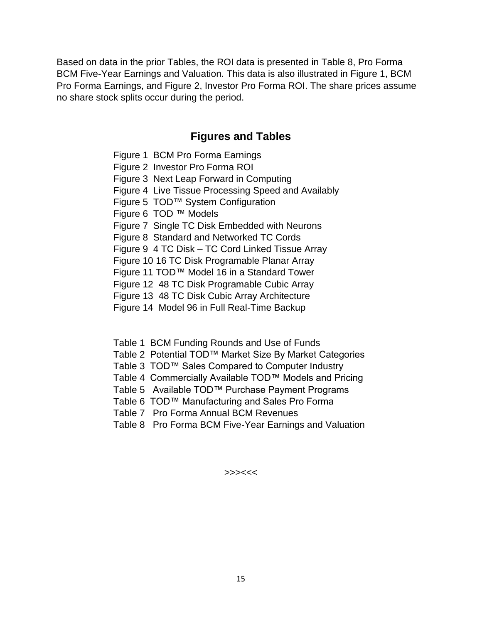Based on data in the prior Tables, the ROI data is presented in Table 8, Pro Forma BCM Five-Year Earnings and Valuation. This data is also illustrated in Figure 1, BCM Pro Forma Earnings, and Figure 2, Investor Pro Forma ROI. The share prices assume no share stock splits occur during the period.

#### **Figures and Tables**

- Figure 1 BCM Pro Forma Earnings
- Figure 2 Investor Pro Forma ROI
- Figure 3 Next Leap Forward in Computing
- Figure 4 Live Tissue Processing Speed and Availably
- Figure 5 TOD™ System Configuration
- Figure 6 TOD ™ Models
- Figure 7 Single TC Disk Embedded with Neurons
- Figure 8 Standard and Networked TC Cords
- Figure 9 4 TC Disk TC Cord Linked Tissue Array
- Figure 10 16 TC Disk Programable Planar Array
- Figure 11 TOD™ Model 16 in a Standard Tower
- Figure 12 48 TC Disk Programable Cubic Array
- Figure 13 48 TC Disk Cubic Array Architecture
- Figure 14 Model 96 in Full Real-Time Backup
- Table 1 BCM Funding Rounds and Use of Funds
- Table 2 Potential TOD™ Market Size By Market Categories
- Table 3 TOD™ Sales Compared to Computer Industry
- Table 4 Commercially Available TOD™ Models and Pricing
- Table 5 Available TOD™ Purchase Payment Programs
- Table 6 TOD™ Manufacturing and Sales Pro Forma
- Table 7 Pro Forma Annual BCM Revenues
- Table 8 Pro Forma BCM Five-Year Earnings and Valuation

>>><<<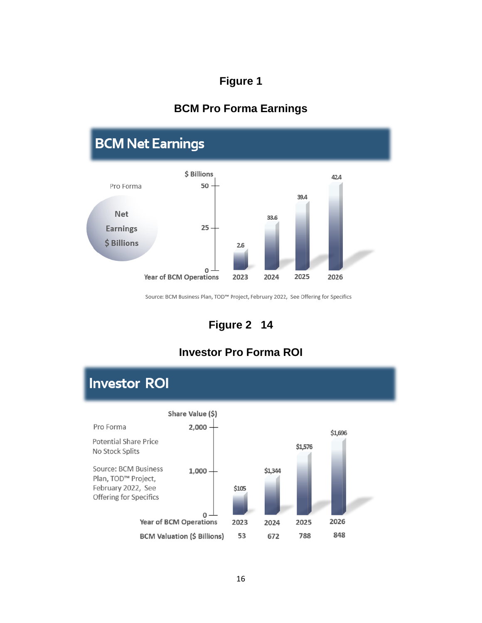### **BCM Pro Forma Earnings**



Source: BCM Business Plan, TOD™ Project, February 2022, See Offering for Specifics

## **Figure 2 14**

## **Investor Pro Forma ROI**

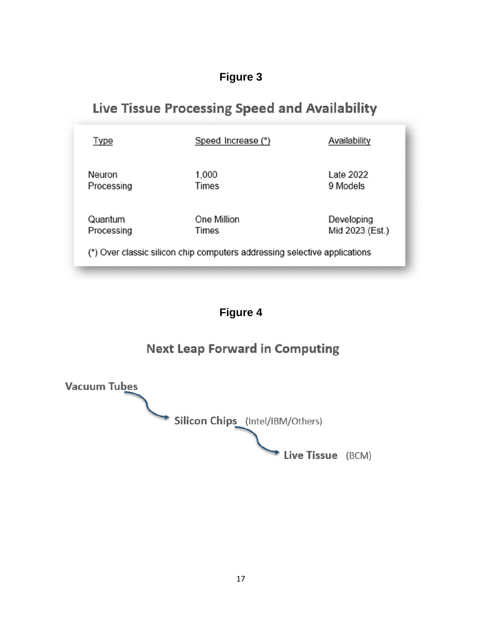# Live Tissue Processing Speed and Availability

| Type       | Speed Increase (*)                                                        | Availability    |
|------------|---------------------------------------------------------------------------|-----------------|
| Neuron     | 1,000                                                                     | Late 2022       |
| Processing | Times                                                                     | 9 Models        |
| Quantum    | One Million                                                               | Developing      |
| Processing | Times                                                                     | Mid 2023 (Est.) |
|            | (*) Over classic silicon chip computers addressing selective applications |                 |

# **Figure 4**

# **Next Leap Forward in Computing**

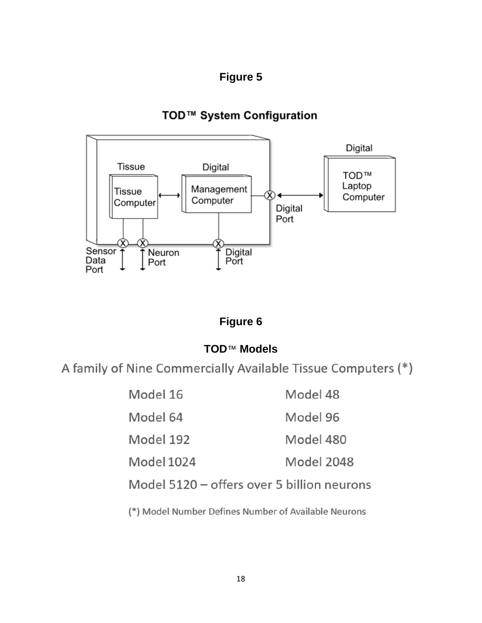## TOD™ System Configuration



### **Figure 6**

### **TOD**™ **Models**

A family of Nine Commercially Available Tissue Computers (\*)

| Model 16   | Model 48   |
|------------|------------|
| Model 64   | Model 96   |
| Model 192  | Model 480  |
| Model 1024 | Model 2048 |

Model 5120 - offers over 5 billion neurons

(\*) Model Number Defines Number of Available Neurons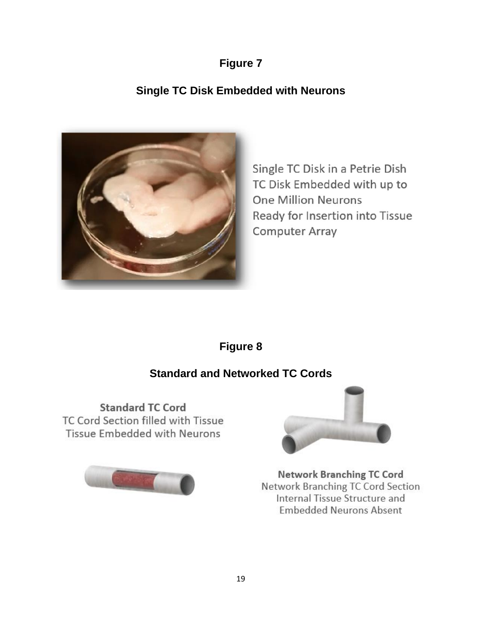# **Single TC Disk Embedded with Neurons**



Single TC Disk in a Petrie Dish TC Disk Embedded with up to **One Million Neurons** Ready for Insertion into Tissue **Computer Array** 

# **Figure 8**

# **Standard and Networked TC Cords**

**Standard TC Cord** TC Cord Section filled with Tissue Tissue Embedded with Neurons





**Network Branching TC Cord** Network Branching TC Cord Section Internal Tissue Structure and **Embedded Neurons Absent**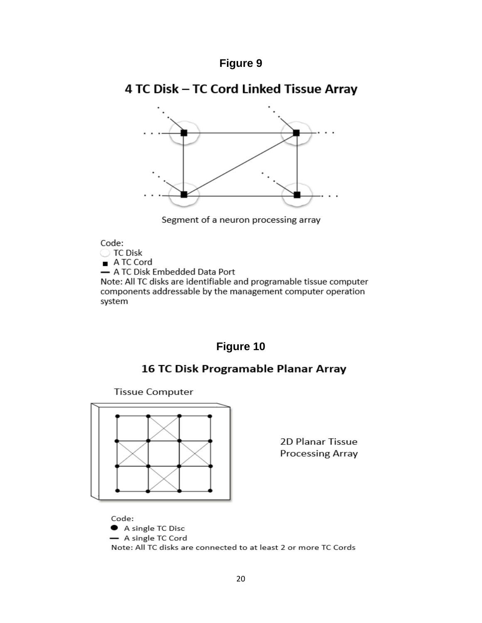# 4 TC Disk - TC Cord Linked Tissue Array



Segment of a neuron processing array

#### Code:

◯ TC Disk A TC Cord - A TC Disk Embedded Data Port Note: All TC disks are identifiable and programable tissue computer components addressable by the management computer operation system

### **Figure 10**

### 16 TC Disk Programable Planar Array

**Tissue Computer** 



2D Planar Tissue **Processing Array** 

Code: A single TC Disc - A single TC Cord Note: All TC disks are connected to at least 2 or more TC Cords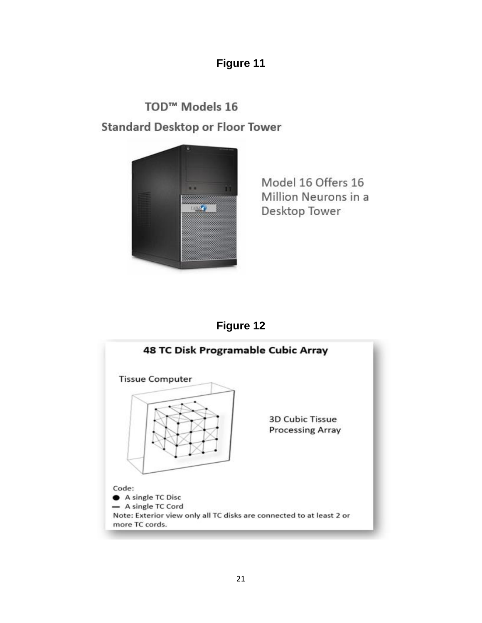TOD<sup>™</sup> Models 16 **Standard Desktop or Floor Tower** 



Model 16 Offers 16 Million Neurons in a Desktop Tower

# **Figure 12**

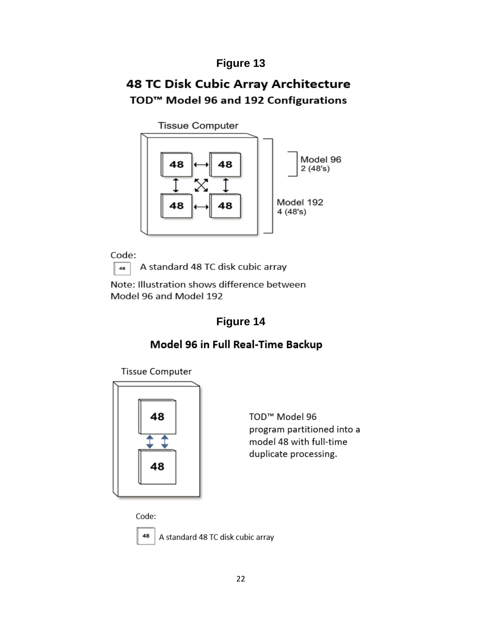# 48 TC Disk Cubic Array Architecture TOD<sup>™</sup> Model 96 and 192 Configurations

**Tissue Computer** 



Code: 48

A standard 48 TC disk cubic array

Note: Illustration shows difference between Model 96 and Model 192

# **Figure 14**

## Model 96 in Full Real-Time Backup

**Tissue Computer** 



TOD<sup>™</sup> Model 96 program partitioned into a model 48 with full-time duplicate processing.

Code:



A standard 48 TC disk cubic array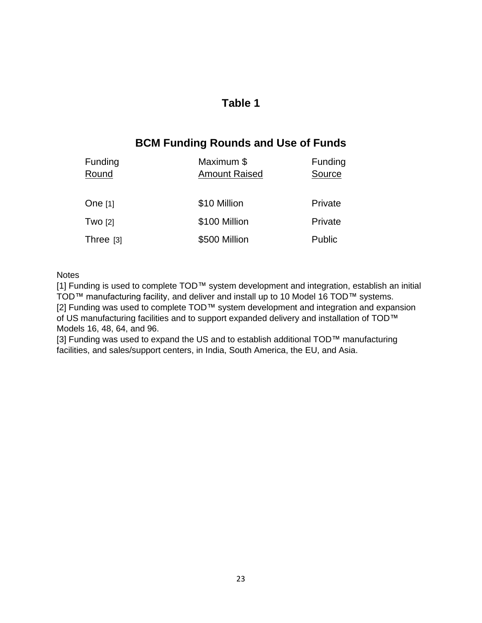### **BCM Funding Rounds and Use of Funds**

| <b>Funding</b><br>Round | Maximum \$<br><b>Amount Raised</b> | Funding<br>Source |
|-------------------------|------------------------------------|-------------------|
| One $[1]$               | \$10 Million                       | Private           |
| <b>Two [2]</b>          | \$100 Million                      | Private           |
| Three $[3]$             | \$500 Million                      | Public            |

#### **Notes**

[1] Funding is used to complete TOD™ system development and integration, establish an initial TOD™ manufacturing facility, and deliver and install up to 10 Model 16 TOD™ systems. [2] Funding was used to complete TOD™ system development and integration and expansion of US manufacturing facilities and to support expanded delivery and installation of TOD™ Models 16, 48, 64, and 96.

[3] Funding was used to expand the US and to establish additional TOD™ manufacturing facilities, and sales/support centers, in India, South America, the EU, and Asia.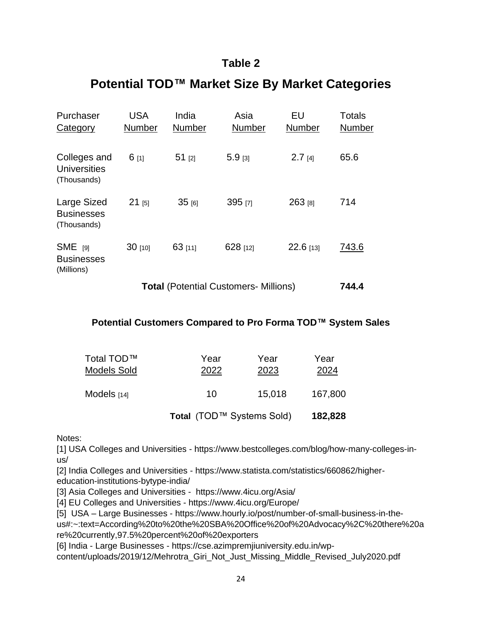# **Potential TOD™ Market Size By Market Categories**

| Purchaser<br>Category                           | <b>USA</b><br>Number | India<br><b>Number</b> | Asia<br><b>Number</b> | EU<br><b>Number</b> | Totals<br><b>Number</b> |
|-------------------------------------------------|----------------------|------------------------|-----------------------|---------------------|-------------------------|
| Colleges and<br>Universities<br>(Thousands)     | $6$ [1]              | $51$ [2]               | $5.9$ [3]             | $2.7$ [4]           | 65.6                    |
| Large Sized<br><b>Businesses</b><br>(Thousands) | $21$ [5]             | $35$ [6]               | 395 [7]               | 263 [8]             | 714                     |
| $SME$ [9]<br><b>Businesses</b><br>(Millions)    | $30$ [10]            | $63$ [11]              | 628 [12]              | $22.6$ [13]         | 743.6                   |

**Total** (Potential Customers- Millions) **744.4**

#### **Potential Customers Compared to Pro Forma TOD™ System Sales**

|              |              | 182,828                   |
|--------------|--------------|---------------------------|
| 10           | 15,018       | 167,800                   |
| Year<br>2022 | Year<br>2023 | Year<br>2024              |
|              |              | Total (TOD™ Systems Sold) |

Notes:

[1] USA Colleges and Universities - https://www.bestcolleges.com/blog/how-many-colleges-inus/

[2] India Colleges and Universities - https://www.statista.com/statistics/660862/highereducation-institutions-bytype-india/

[3] Asia Colleges and Universities - https://www.4icu.org/Asia/

[4] EU Colleges and Universities - https://www.4icu.org/Europe/

[5] USA – Large Businesses - https://www.hourly.io/post/number-of-small-business-in-the-

us#:~:text=According%20to%20the%20SBA%20Office%20of%20Advocacy%2C%20there%20a re%20currently,97.5%20percent%20of%20exporters

[6] India - Large Businesses - https://cse.azimpremjiuniversity.edu.in/wp-

content/uploads/2019/12/Mehrotra\_Giri\_Not\_Just\_Missing\_Middle\_Revised\_July2020.pdf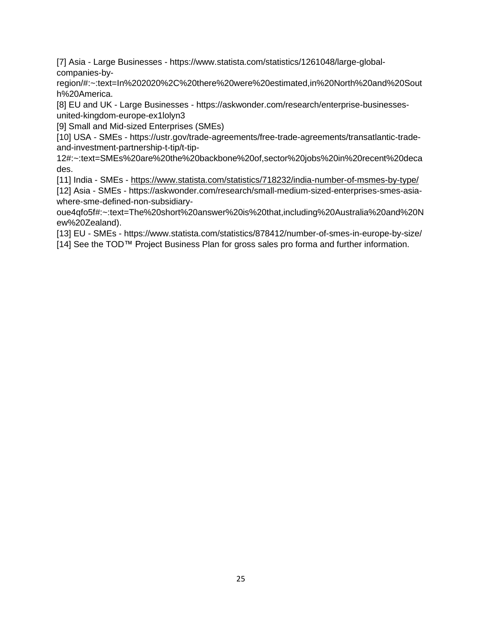[7] Asia - Large Businesses - https://www.statista.com/statistics/1261048/large-globalcompanies-by-

region/#:~:text=In%202020%2C%20there%20were%20estimated,in%20North%20and%20Sout h%20America.

[8] EU and UK - Large Businesses - https://askwonder.com/research/enterprise-businessesunited-kingdom-europe-ex1lolyn3

[9] Small and Mid-sized Enterprises (SMEs)

[10] USA - SMEs - https://ustr.gov/trade-agreements/free-trade-agreements/transatlantic-tradeand-investment-partnership-t-tip/t-tip-

12#:~:text=SMEs%20are%20the%20backbone%20of,sector%20jobs%20in%20recent%20deca des.

[11] India - SMEs - <https://www.statista.com/statistics/718232/india-number-of-msmes-by-type/>

[12] Asia - SMEs - https://askwonder.com/research/small-medium-sized-enterprises-smes-asiawhere-sme-defined-non-subsidiary-

oue4qfo5f#:~:text=The%20short%20answer%20is%20that,including%20Australia%20and%20N ew%20Zealand).

[13] EU - SMEs - https://www.statista.com/statistics/878412/number-of-smes-in-europe-by-size/

[14] See the TOD™ Project Business Plan for gross sales pro forma and further information.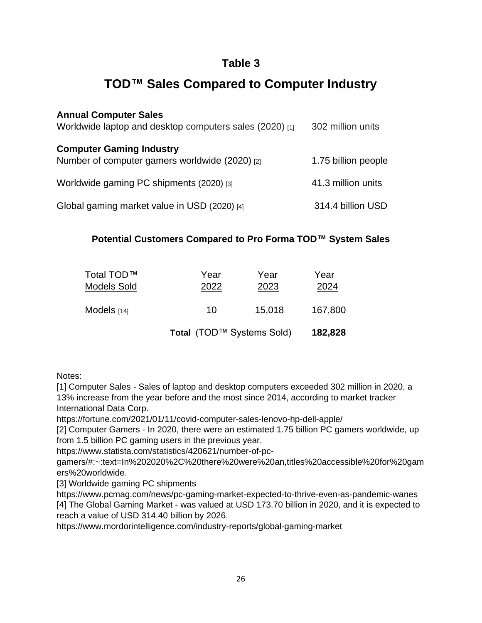# **TOD™ Sales Compared to Computer Industry**

| <b>Annual Computer Sales</b><br>Worldwide laptop and desktop computers sales (2020) [1] | 302 million units   |
|-----------------------------------------------------------------------------------------|---------------------|
| <b>Computer Gaming Industry</b><br>Number of computer gamers worldwide (2020) [2]       | 1.75 billion people |
| Worldwide gaming PC shipments (2020) [3]                                                | 41.3 million units  |
| Global gaming market value in USD (2020) [4]                                            | 314.4 billion USD   |

#### **Potential Customers Compared to Pro Forma TOD™ System Sales**

| Total (TOD™ Systems Sold) |              |              |  |
|---------------------------|--------------|--------------|--|
| 10                        | 15,018       | 167,800      |  |
| Year<br>2022              | Year<br>2023 | Year<br>2024 |  |
|                           |              |              |  |

#### Notes:

[1] Computer Sales - Sales of laptop and desktop computers exceeded 302 million in 2020, a 13% increase from the year before and the most since 2014, according to market tracker International Data Corp.

https://fortune.com/2021/01/11/covid-computer-sales-lenovo-hp-dell-apple/

[2] Computer Gamers - In 2020, there were an estimated 1.75 billion PC gamers worldwide, up from 1.5 billion PC gaming users in the previous year.

https://www.statista.com/statistics/420621/number-of-pc-

gamers/#:~:text=In%202020%2C%20there%20were%20an,titles%20accessible%20for%20gam ers%20worldwide.

[3] Worldwide gaming PC shipments

https://www.pcmag.com/news/pc-gaming-market-expected-to-thrive-even-as-pandemic-wanes [4] The Global Gaming Market - was valued at USD 173.70 billion in 2020, and it is expected to reach a value of USD 314.40 billion by 2026.

<https://www.mordorintelligence.com/industry-reports/global-gaming-market>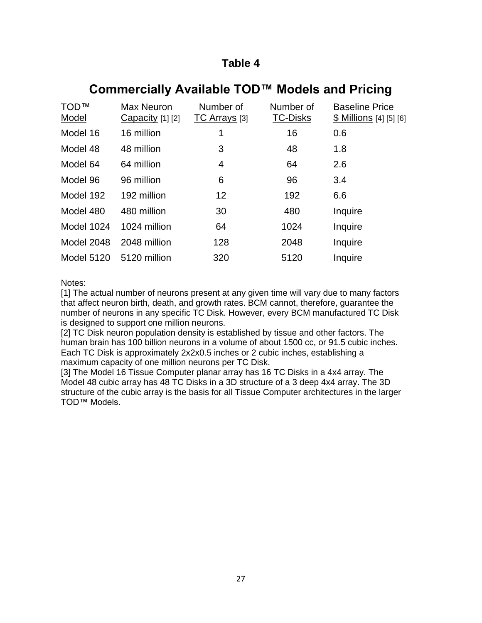# **Commercially Available TOD™ Models and Pricing**

| <b>TOD™</b><br><b>Model</b> | Max Neuron<br>Capacity $[1]$ $[2]$ | Number of<br><b>TC Arrays</b> [3] | Number of<br><b>TC-Disks</b> | <b>Baseline Price</b><br>$$$ Millions [4] [5] [6] |
|-----------------------------|------------------------------------|-----------------------------------|------------------------------|---------------------------------------------------|
| Model 16                    | 16 million                         | 1                                 | 16                           | 0.6                                               |
| Model 48                    | 48 million                         | 3                                 | 48                           | 1.8                                               |
| Model 64                    | 64 million                         | 4                                 | 64                           | 2.6                                               |
| Model 96                    | 96 million                         | 6                                 | 96                           | 3.4                                               |
| Model 192                   | 192 million                        | 12                                | 192                          | 6.6                                               |
| Model 480                   | 480 million                        | 30                                | 480                          | Inquire                                           |
| Model 1024                  | 1024 million                       | 64                                | 1024                         | Inquire                                           |
| Model 2048                  | 2048 million                       | 128                               | 2048                         | Inquire                                           |
| <b>Model 5120</b>           | 5120 million                       | 320                               | 5120                         | Inquire                                           |

Notes:

[1] The actual number of neurons present at any given time will vary due to many factors that affect neuron birth, death, and growth rates. BCM cannot, therefore, guarantee the number of neurons in any specific TC Disk. However, every BCM manufactured TC Disk is designed to support one million neurons.

[2] TC Disk neuron population density is established by tissue and other factors. The human brain has 100 billion neurons in a volume of about 1500 cc, or 91.5 cubic inches. Each TC Disk is approximately 2x2x0.5 inches or 2 cubic inches, establishing a maximum capacity of one million neurons per TC Disk.

[3] The Model 16 Tissue Computer planar array has 16 TC Disks in a 4x4 array. The Model 48 cubic array has 48 TC Disks in a 3D structure of a 3 deep 4x4 array. The 3D structure of the cubic array is the basis for all Tissue Computer architectures in the larger TOD™ Models.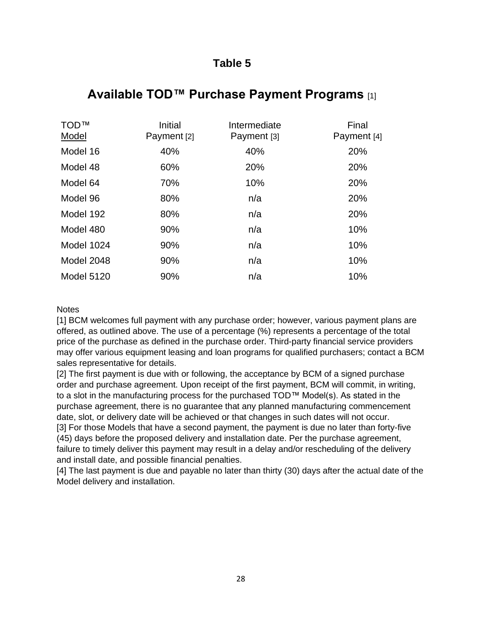## **Available TOD™ Purchase Payment Programs** [1]

| <b>TOD™</b><br>Model | Initial<br>Payment [2] | Intermediate<br>Payment [3] | Final<br>Payment [4] |
|----------------------|------------------------|-----------------------------|----------------------|
| Model 16             | 40%                    | 40%                         | 20%                  |
| Model 48             | 60%                    | 20%                         | 20%                  |
| Model 64             | 70%                    | 10%                         | 20%                  |
| Model 96             | 80%                    | n/a                         | 20%                  |
| Model 192            | 80%                    | n/a                         | 20%                  |
| Model 480            | 90%                    | n/a                         | 10%                  |
| Model 1024           | 90%                    | n/a                         | 10%                  |
| Model 2048           | 90%                    | n/a                         | 10%                  |
| <b>Model 5120</b>    | 90%                    | n/a                         | 10%                  |

#### **Notes**

[1] BCM welcomes full payment with any purchase order; however, various payment plans are offered, as outlined above. The use of a percentage (%) represents a percentage of the total price of the purchase as defined in the purchase order. Third-party financial service providers may offer various equipment leasing and loan programs for qualified purchasers; contact a BCM sales representative for details.

[2] The first payment is due with or following, the acceptance by BCM of a signed purchase order and purchase agreement. Upon receipt of the first payment, BCM will commit, in writing, to a slot in the manufacturing process for the purchased TOD™ Model(s). As stated in the purchase agreement, there is no guarantee that any planned manufacturing commencement date, slot, or delivery date will be achieved or that changes in such dates will not occur. [3] For those Models that have a second payment, the payment is due no later than forty-five (45) days before the proposed delivery and installation date. Per the purchase agreement, failure to timely deliver this payment may result in a delay and/or rescheduling of the delivery and install date, and possible financial penalties.

[4] The last payment is due and payable no later than thirty (30) days after the actual date of the Model delivery and installation.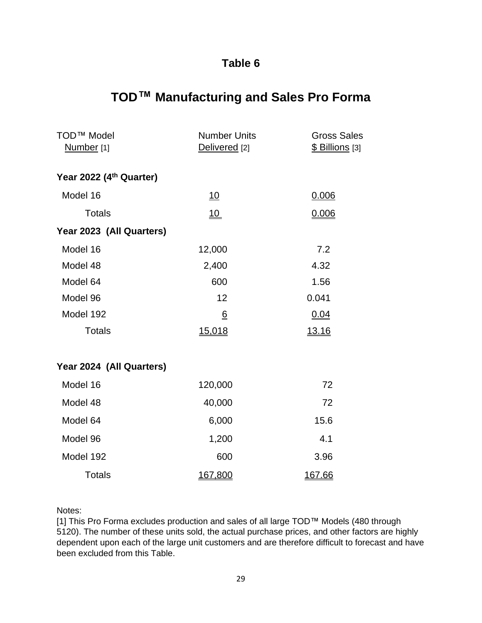# **TOD™ Manufacturing and Sales Pro Forma**

| <b>TOD™ Model</b><br>Number <sub>[1]</sub> | <b>Number Units</b><br><b>Gross Sales</b><br>\$ Billions [3]<br>Delivered [2] |              |
|--------------------------------------------|-------------------------------------------------------------------------------|--------------|
| Year 2022 (4th Quarter)                    |                                                                               |              |
| Model 16                                   | 10                                                                            | 0.006        |
| <b>Totals</b>                              | 10                                                                            | 0.006        |
| Year 2023 (All Quarters)                   |                                                                               |              |
| Model 16                                   | 12,000                                                                        | 7.2          |
| Model 48                                   | 2,400                                                                         | 4.32         |
| Model 64                                   | 600                                                                           | 1.56         |
| Model 96                                   | 12                                                                            | 0.041        |
| Model 192                                  | $6\overline{6}$                                                               | 0.04         |
| <b>Totals</b>                              | 15,018                                                                        | <u>13.16</u> |
| Year 2024 (All Quarters)                   |                                                                               |              |
| Model 16                                   | 120,000                                                                       | 72           |
| Model 48                                   | 40,000                                                                        | 72           |
| Model 64                                   | 6,000                                                                         | 15.6         |
| Model 96                                   | 1,200                                                                         | 4.1          |
| Model 192                                  | 600                                                                           | 3.96         |
| <b>Totals</b>                              | 167,800                                                                       | 167.66       |

#### Notes:

[1] This Pro Forma excludes production and sales of all large TOD™ Models (480 through 5120). The number of these units sold, the actual purchase prices, and other factors are highly dependent upon each of the large unit customers and are therefore difficult to forecast and have been excluded from this Table.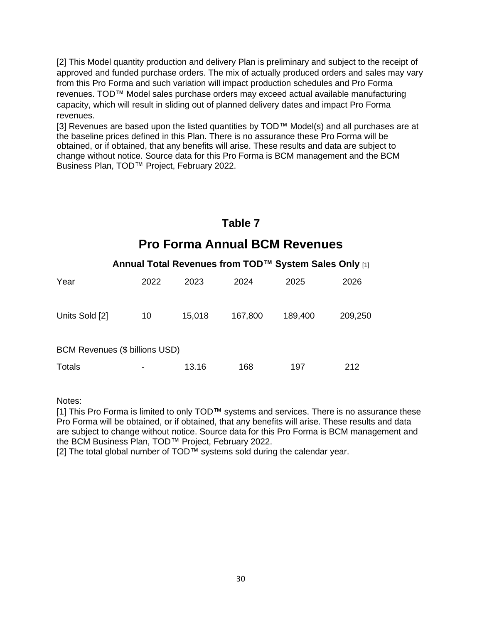[2] This Model quantity production and delivery Plan is preliminary and subject to the receipt of approved and funded purchase orders. The mix of actually produced orders and sales may vary from this Pro Forma and such variation will impact production schedules and Pro Forma revenues. TOD™ Model sales purchase orders may exceed actual available manufacturing capacity, which will result in sliding out of planned delivery dates and impact Pro Forma revenues.

[3] Revenues are based upon the listed quantities by TOD™ Model(s) and all purchases are at the baseline prices defined in this Plan. There is no assurance these Pro Forma will be obtained, or if obtained, that any benefits will arise. These results and data are subject to change without notice. Source data for this Pro Forma is BCM management and the BCM Business Plan, TOD™ Project, February 2022.

# **Table 7 Pro Forma Annual BCM Revenues**

#### **Annual Total Revenues from TOD™ System Sales Only** [1]

| Year                           | 2022 | 2023   | 2024    | 2025    | 2026    |
|--------------------------------|------|--------|---------|---------|---------|
| Units Sold [2]                 | 10   | 15,018 | 167,800 | 189,400 | 209,250 |
| BCM Revenues (\$ billions USD) |      |        |         |         |         |
| <b>Totals</b>                  | ٠    | 13.16  | 168     | 197     | 212     |

#### Notes:

[1] This Pro Forma is limited to only TOD™ systems and services. There is no assurance these Pro Forma will be obtained, or if obtained, that any benefits will arise. These results and data are subject to change without notice. Source data for this Pro Forma is BCM management and the BCM Business Plan, TOD™ Project, February 2022.

[2] The total global number of TOD™ systems sold during the calendar year.